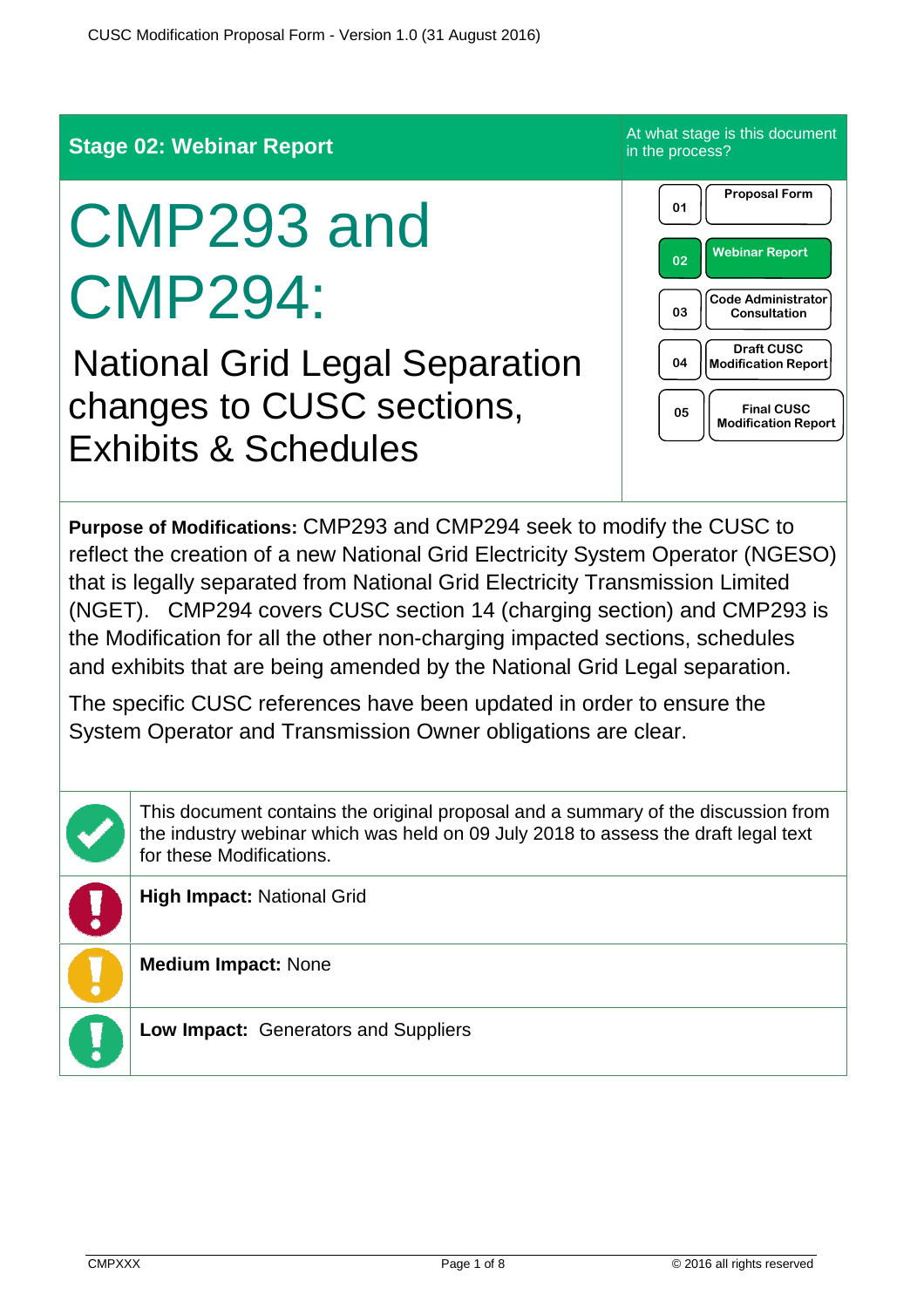

This document contains the original proposal and a summary of the discussion from the industry webinar which was held on 09 July 2018 to assess the draft legal text for these Modifications.

**High Impact:** National Grid

**Medium Impact:** None

**Low Impact:** Generators and Suppliers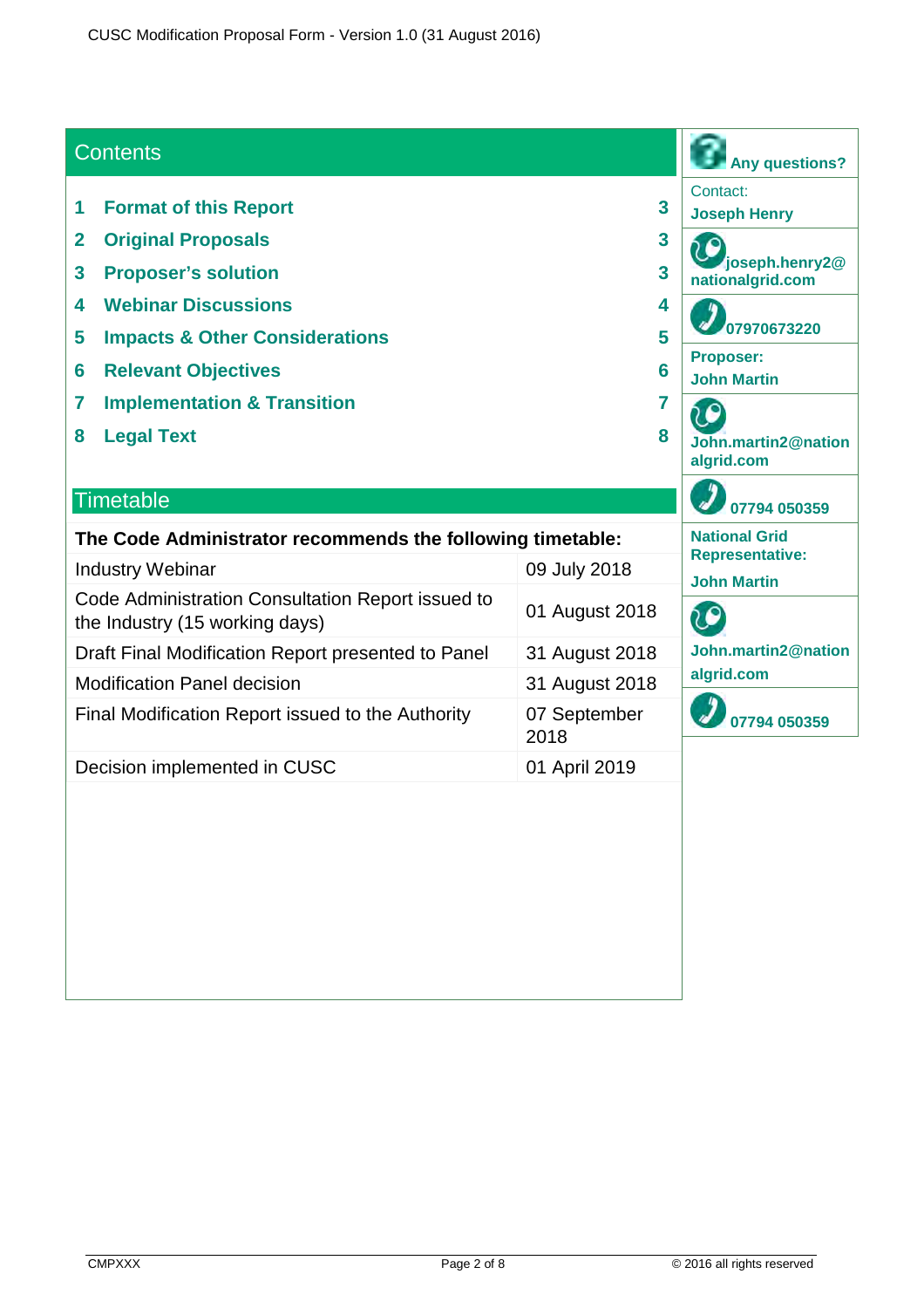#### **Contents Any questions?** Contact: **1 Format of this Report 3 Joseph Henry 2 Original Proposals 3 joseph.henry2@ 3 Proposer's solution 3 nationalgrid.com 4 Webinar Discussions 4 07970673220 5 Impacts & Other Considerations 5 Proposer: 6 Relevant Objectives 6 John Martin 7** Implementation & Transition **7 1 8 Legal Text 8 John.martin2@nation algrid.com Timetable 07794 050359 The Code Administrator recommends the following timetable: National Grid Representative:** Industry Webinar 09 July 2018 **John Martin** Code Administration Consultation Report issued to 01 August 2018 iO the Industry (15 working days) Draft Final Modification Report presented to Panel 31 August 2018 **John.martin2@nation algrid.com** Modification Panel decision 31 August 2018 Final Modification Report issued to the Authority 07 September **07794 050359**2018 Decision implemented in CUSC 01 April 2019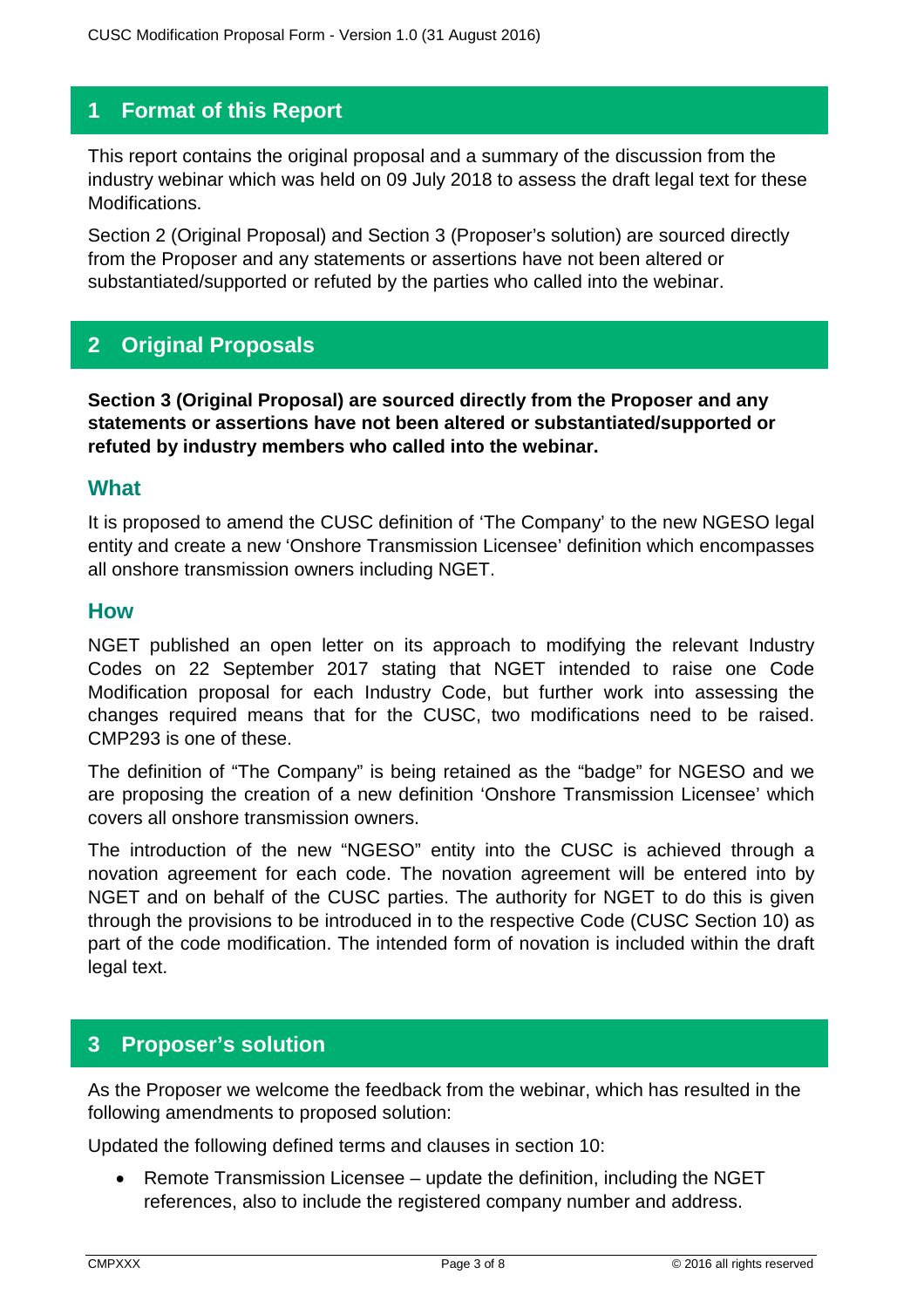### **1 Format of this Report**

This report contains the original proposal and a summary of the discussion from the industry webinar which was held on 09 July 2018 to assess the draft legal text for these Modifications.

Section 2 (Original Proposal) and Section 3 (Proposer's solution) are sourced directly from the Proposer and any statements or assertions have not been altered or substantiated/supported or refuted by the parties who called into the webinar.

## **2 Original Proposals**

**Section 3 (Original Proposal) are sourced directly from the Proposer and any statements or assertions have not been altered or substantiated/supported or refuted by industry members who called into the webinar.**

#### **What**

It is proposed to amend the CUSC definition of 'The Company' to the new NGESO legal entity and create a new 'Onshore Transmission Licensee' definition which encompasses all onshore transmission owners including NGET.

#### **How**

NGET published an open letter on its approach to modifying the relevant Industry Codes on 22 September 2017 stating that NGET intended to raise one Code Modification proposal for each Industry Code, but further work into assessing the changes required means that for the CUSC, two modifications need to be raised. CMP293 is one of these.

The definition of "The Company" is being retained as the "badge" for NGESO and we are proposing the creation of a new definition 'Onshore Transmission Licensee' which covers all onshore transmission owners.

The introduction of the new "NGESO" entity into the CUSC is achieved through a novation agreement for each code. The novation agreement will be entered into by NGET and on behalf of the CUSC parties. The authority for NGET to do this is given through the provisions to be introduced in to the respective Code (CUSC Section 10) as part of the code modification. The intended form of novation is included within the draft legal text.

### **3 Proposer's solution**

As the Proposer we welcome the feedback from the webinar, which has resulted in the following amendments to proposed solution:

Updated the following defined terms and clauses in section 10:

• Remote Transmission Licensee – update the definition, including the NGET references, also to include the registered company number and address.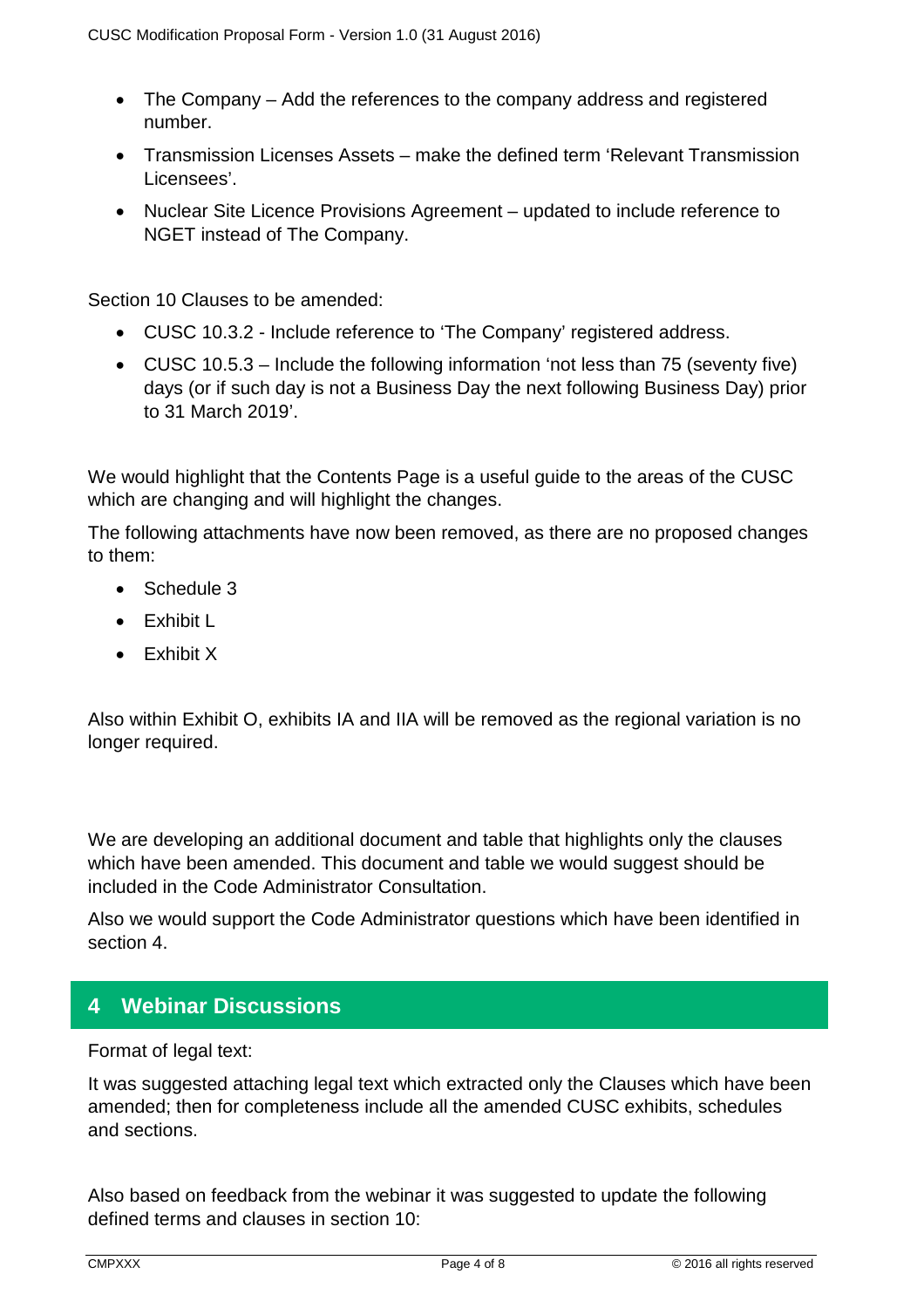- The Company Add the references to the company address and registered number.
- Transmission Licenses Assets make the defined term 'Relevant Transmission Licensees'.
- Nuclear Site Licence Provisions Agreement updated to include reference to NGET instead of The Company.

Section 10 Clauses to be amended:

- CUSC 10.3.2 Include reference to 'The Company' registered address.
- CUSC 10.5.3 Include the following information 'not less than 75 (seventy five) days (or if such day is not a Business Day the next following Business Day) prior to 31 March 2019'.

We would highlight that the Contents Page is a useful guide to the areas of the CUSC which are changing and will highlight the changes.

The following attachments have now been removed, as there are no proposed changes to them:

- Schedule 3
- **•** Fxhibit I
- Exhibit X

Also within Exhibit O, exhibits IA and IIA will be removed as the regional variation is no longer required.

We are developing an additional document and table that highlights only the clauses which have been amended. This document and table we would suggest should be included in the Code Administrator Consultation.

Also we would support the Code Administrator questions which have been identified in section 4.

### **4 Webinar Discussions**

Format of legal text:

It was suggested attaching legal text which extracted only the Clauses which have been amended; then for completeness include all the amended CUSC exhibits, schedules and sections.

Also based on feedback from the webinar it was suggested to update the following defined terms and clauses in section 10: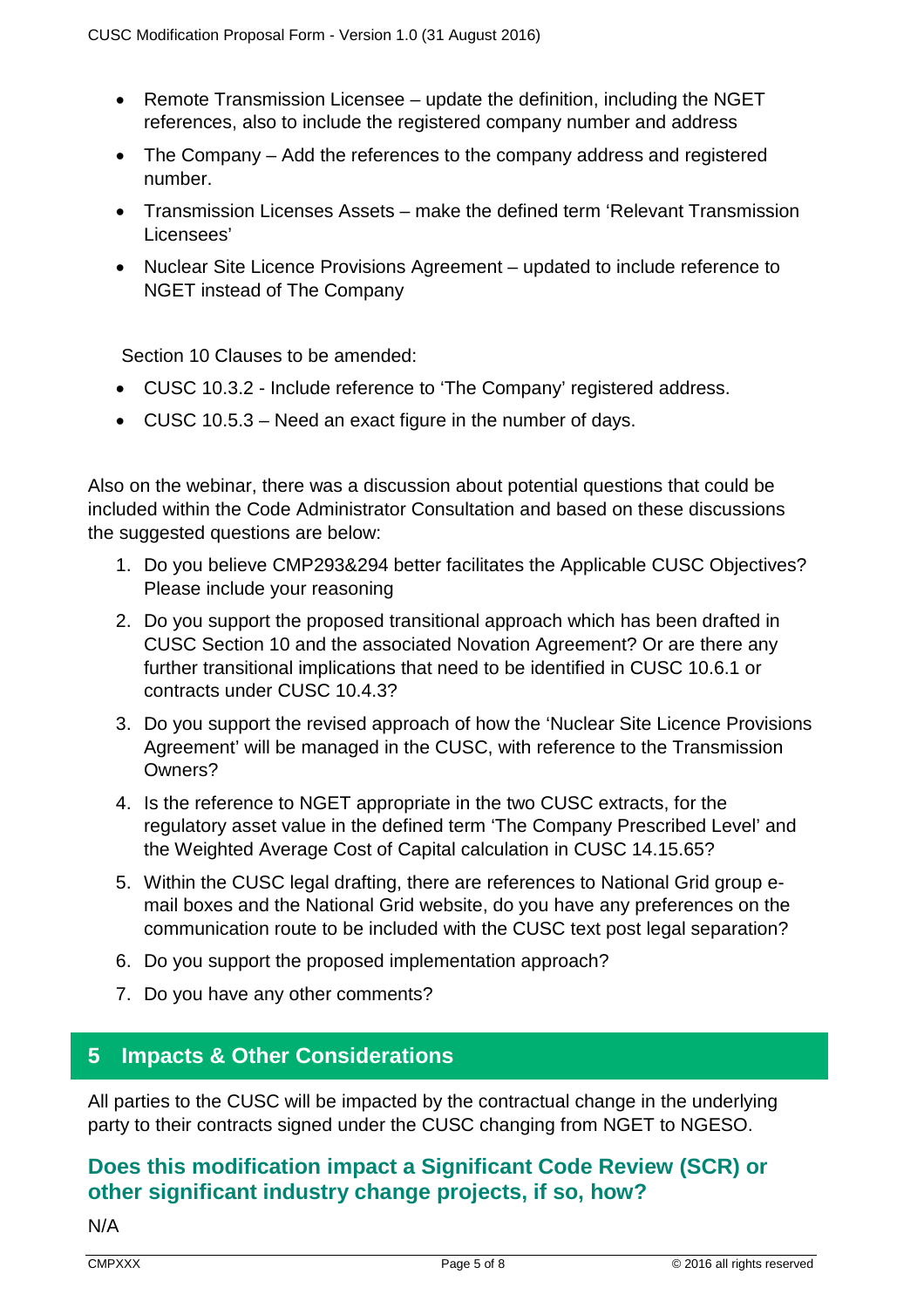- Remote Transmission Licensee update the definition, including the NGET references, also to include the registered company number and address
- The Company Add the references to the company address and registered number.
- Transmission Licenses Assets make the defined term 'Relevant Transmission Licensees'
- Nuclear Site Licence Provisions Agreement updated to include reference to NGET instead of The Company

Section 10 Clauses to be amended:

- CUSC 10.3.2 Include reference to 'The Company' registered address.
- CUSC 10.5.3 Need an exact figure in the number of days.

Also on the webinar, there was a discussion about potential questions that could be included within the Code Administrator Consultation and based on these discussions the suggested questions are below:

- 1. Do you believe CMP293&294 better facilitates the Applicable CUSC Objectives? Please include your reasoning
- 2. Do you support the proposed transitional approach which has been drafted in CUSC Section 10 and the associated Novation Agreement? Or are there any further transitional implications that need to be identified in CUSC 10.6.1 or contracts under CUSC 10.4.3?
- 3. Do you support the revised approach of how the 'Nuclear Site Licence Provisions Agreement' will be managed in the CUSC, with reference to the Transmission Owners?
- 4. Is the reference to NGET appropriate in the two CUSC extracts, for the regulatory asset value in the defined term 'The Company Prescribed Level' and the Weighted Average Cost of Capital calculation in CUSC 14.15.65?
- 5. Within the CUSC legal drafting, there are references to National Grid group email boxes and the National Grid website, do you have any preferences on the communication route to be included with the CUSC text post legal separation?
- 6. Do you support the proposed implementation approach?
- 7. Do you have any other comments?

## **5 Impacts & Other Considerations**

All parties to the CUSC will be impacted by the contractual change in the underlying party to their contracts signed under the CUSC changing from NGET to NGESO.

# **Does this modification impact a Significant Code Review (SCR) or other significant industry change projects, if so, how?**

N/A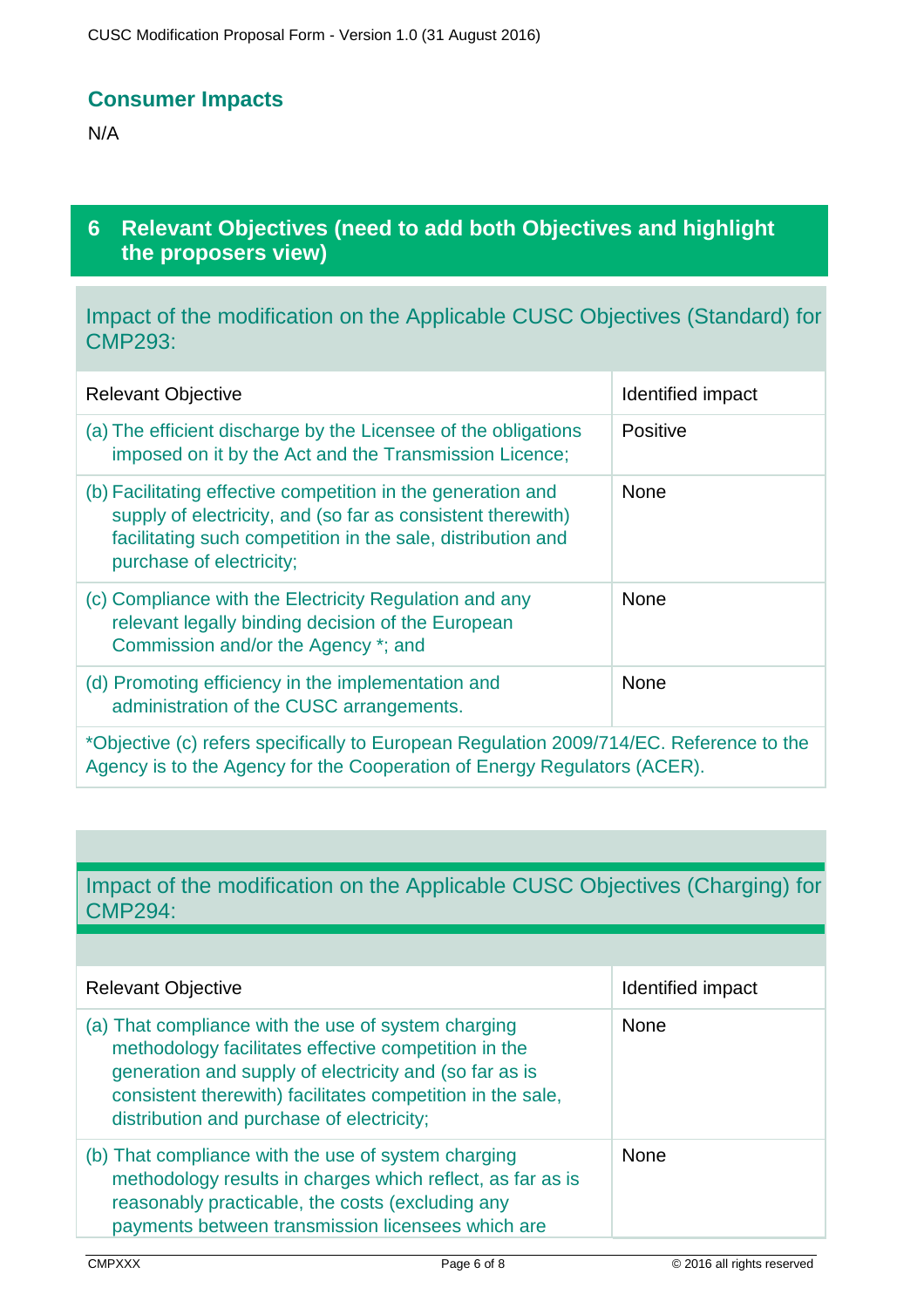### **Consumer Impacts**

N/A

## **6 Relevant Objectives (need to add both Objectives and highlight the proposers view)**

Impact of the modification on the Applicable CUSC Objectives (Standard) for CMP293:

| <b>Relevant Objective</b>                                                                                                                                                                                              | Identified impact |
|------------------------------------------------------------------------------------------------------------------------------------------------------------------------------------------------------------------------|-------------------|
| (a) The efficient discharge by the Licensee of the obligations<br>imposed on it by the Act and the Transmission Licence;                                                                                               | <b>Positive</b>   |
| (b) Facilitating effective competition in the generation and<br>supply of electricity, and (so far as consistent therewith)<br>facilitating such competition in the sale, distribution and<br>purchase of electricity; | <b>None</b>       |
| (c) Compliance with the Electricity Regulation and any<br>relevant legally binding decision of the European<br>Commission and/or the Agency *; and                                                                     | <b>None</b>       |
| (d) Promoting efficiency in the implementation and<br>administration of the CUSC arrangements.                                                                                                                         | None              |
| *Objective (c) refers specifically to European Regulation 2009/714/EC. Reference to the                                                                                                                                |                   |

Agency is to the Agency for the Cooperation of Energy Regulators (ACER).

# Impact of the modification on the Applicable CUSC Objectives (Charging) for CMP294:

| <b>Relevant Objective</b>                                                                                                                                                                                                                                                        | Identified impact |
|----------------------------------------------------------------------------------------------------------------------------------------------------------------------------------------------------------------------------------------------------------------------------------|-------------------|
| (a) That compliance with the use of system charging<br>methodology facilitates effective competition in the<br>generation and supply of electricity and (so far as is<br>consistent therewith) facilitates competition in the sale,<br>distribution and purchase of electricity; | <b>None</b>       |
| (b) That compliance with the use of system charging<br>methodology results in charges which reflect, as far as is<br>reasonably practicable, the costs (excluding any<br>payments between transmission licensees which are                                                       | <b>None</b>       |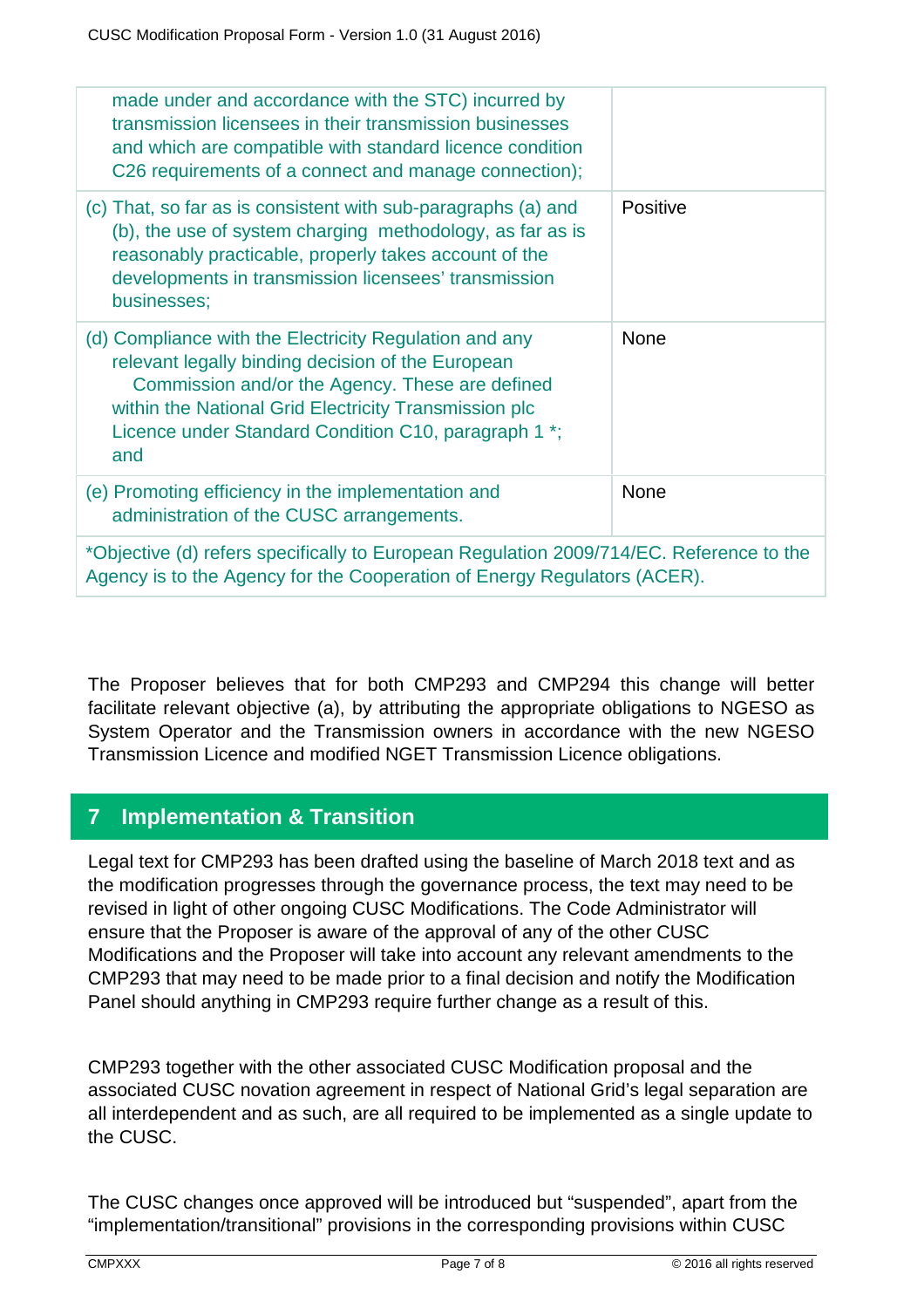| made under and accordance with the STC) incurred by<br>transmission licensees in their transmission businesses<br>and which are compatible with standard licence condition<br>C26 requirements of a connect and manage connection);                                                    |             |  |
|----------------------------------------------------------------------------------------------------------------------------------------------------------------------------------------------------------------------------------------------------------------------------------------|-------------|--|
| (c) That, so far as is consistent with sub-paragraphs (a) and<br>(b), the use of system charging methodology, as far as is<br>reasonably practicable, properly takes account of the<br>developments in transmission licensees' transmission<br>businesses;                             | Positive    |  |
| (d) Compliance with the Electricity Regulation and any<br>relevant legally binding decision of the European<br>Commission and/or the Agency. These are defined<br>within the National Grid Electricity Transmission plc<br>Licence under Standard Condition C10, paragraph 1 *;<br>and | <b>None</b> |  |
| (e) Promoting efficiency in the implementation and<br>administration of the CUSC arrangements.                                                                                                                                                                                         | <b>None</b> |  |
| *Objective (d) refers specifically to European Regulation 2009/714/EC. Reference to the<br>Agency is to the Agency for the Cooperation of Energy Regulators (ACER).                                                                                                                    |             |  |

The Proposer believes that for both CMP293 and CMP294 this change will better facilitate relevant objective (a), by attributing the appropriate obligations to NGESO as System Operator and the Transmission owners in accordance with the new NGESO Transmission Licence and modified NGET Transmission Licence obligations.

# **7 Implementation & Transition**

Legal text for CMP293 has been drafted using the baseline of March 2018 text and as the modification progresses through the governance process, the text may need to be revised in light of other ongoing CUSC Modifications. The Code Administrator will ensure that the Proposer is aware of the approval of any of the other CUSC Modifications and the Proposer will take into account any relevant amendments to the CMP293 that may need to be made prior to a final decision and notify the Modification Panel should anything in CMP293 require further change as a result of this.

CMP293 together with the other associated CUSC Modification proposal and the associated CUSC novation agreement in respect of National Grid's legal separation are all interdependent and as such, are all required to be implemented as a single update to the CUSC.

The CUSC changes once approved will be introduced but "suspended", apart from the "implementation/transitional" provisions in the corresponding provisions within CUSC